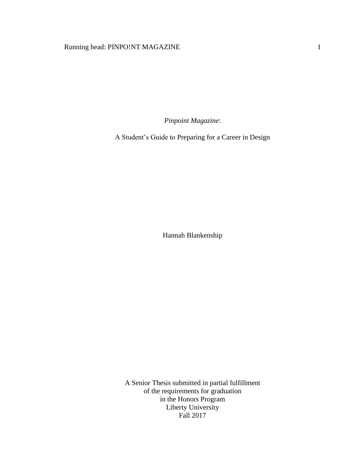# Running head: PINPO!NT MAGAZINE 1

*Pinpoint Magazine*:

A Student's Guide to Preparing for a Career in Design

Hannah Blankenship

A Senior Thesis submitted in partial fulfillment of the requirements for graduation in the Honors Program Liberty University Fall 2017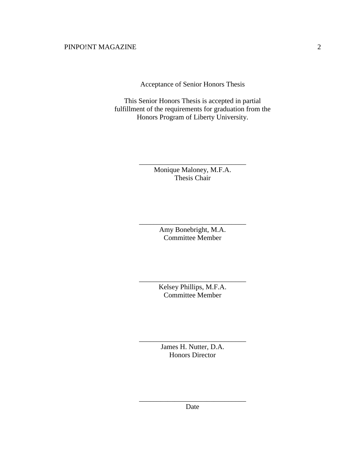Acceptance of Senior Honors Thesis

This Senior Honors Thesis is accepted in partial fulfillment of the requirements for graduation from the Honors Program of Liberty University.

> Monique Maloney, M.F.A. Thesis Chair

\_\_\_\_\_\_\_\_\_\_\_\_\_\_\_\_\_\_\_\_\_\_\_\_\_\_\_\_\_\_

Amy Bonebright, M.A. Committee Member

\_\_\_\_\_\_\_\_\_\_\_\_\_\_\_\_\_\_\_\_\_\_\_\_\_\_\_\_\_\_

Kelsey Phillips, M.F.A. Committee Member

\_\_\_\_\_\_\_\_\_\_\_\_\_\_\_\_\_\_\_\_\_\_\_\_\_\_\_\_\_\_

James H. Nutter, D.A. Honors Director

\_\_\_\_\_\_\_\_\_\_\_\_\_\_\_\_\_\_\_\_\_\_\_\_\_\_\_\_\_\_

\_\_\_\_\_\_\_\_\_\_\_\_\_\_\_\_\_\_\_\_\_\_\_\_\_\_\_\_\_\_ Date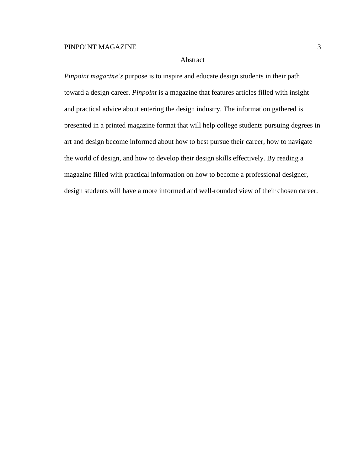## Abstract

*Pinpoint magazine's* purpose is to inspire and educate design students in their path toward a design career. *Pinpoint* is a magazine that features articles filled with insight and practical advice about entering the design industry. The information gathered is presented in a printed magazine format that will help college students pursuing degrees in art and design become informed about how to best pursue their career, how to navigate the world of design, and how to develop their design skills effectively. By reading a magazine filled with practical information on how to become a professional designer, design students will have a more informed and well-rounded view of their chosen career.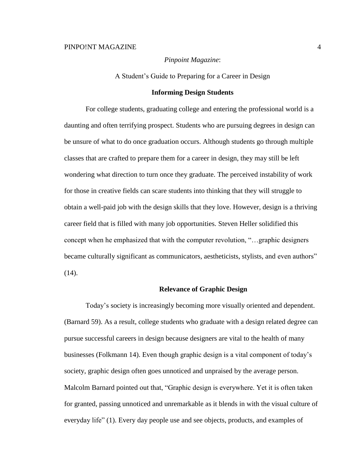## *Pinpoint Magazine*:

A Student's Guide to Preparing for a Career in Design

#### **Informing Design Students**

For college students, graduating college and entering the professional world is a daunting and often terrifying prospect. Students who are pursuing degrees in design can be unsure of what to do once graduation occurs. Although students go through multiple classes that are crafted to prepare them for a career in design, they may still be left wondering what direction to turn once they graduate. The perceived instability of work for those in creative fields can scare students into thinking that they will struggle to obtain a well-paid job with the design skills that they love. However, design is a thriving career field that is filled with many job opportunities. Steven Heller solidified this concept when he emphasized that with the computer revolution, "…graphic designers became culturally significant as communicators, aestheticists, stylists, and even authors" (14).

#### **Relevance of Graphic Design**

Today's society is increasingly becoming more visually oriented and dependent. (Barnard 59). As a result, college students who graduate with a design related degree can pursue successful careers in design because designers are vital to the health of many businesses (Folkmann 14). Even though graphic design is a vital component of today's society, graphic design often goes unnoticed and unpraised by the average person. Malcolm Barnard pointed out that, "Graphic design is everywhere. Yet it is often taken for granted, passing unnoticed and unremarkable as it blends in with the visual culture of everyday life" (1). Every day people use and see objects, products, and examples of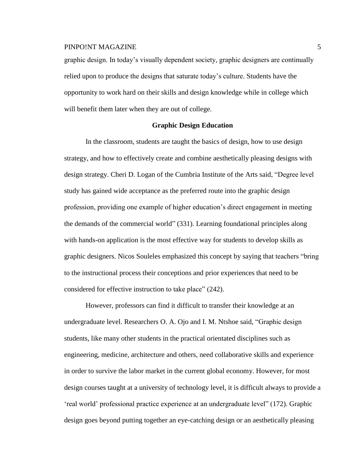graphic design. In today's visually dependent society, graphic designers are continually relied upon to produce the designs that saturate today's culture. Students have the opportunity to work hard on their skills and design knowledge while in college which will benefit them later when they are out of college.

## **Graphic Design Education**

In the classroom, students are taught the basics of design, how to use design strategy, and how to effectively create and combine aesthetically pleasing designs with design strategy. Cheri D. Logan of the Cumbria Institute of the Arts said, "Degree level study has gained wide acceptance as the preferred route into the graphic design profession, providing one example of higher education's direct engagement in meeting the demands of the commercial world" (331). Learning foundational principles along with hands-on application is the most effective way for students to develop skills as graphic designers. Nicos Souleles emphasized this concept by saying that teachers "bring to the instructional process their conceptions and prior experiences that need to be considered for effective instruction to take place" (242).

However, professors can find it difficult to transfer their knowledge at an undergraduate level. Researchers O. A. Ojo and I. M. Ntshoe said, "Graphic design students, like many other students in the practical orientated disciplines such as engineering, medicine, architecture and others, need collaborative skills and experience in order to survive the labor market in the current global economy. However, for most design courses taught at a university of technology level, it is difficult always to provide a 'real world' professional practice experience at an undergraduate level" (172). Graphic design goes beyond putting together an eye-catching design or an aesthetically pleasing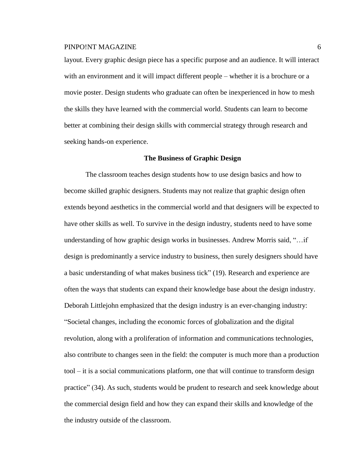layout. Every graphic design piece has a specific purpose and an audience. It will interact with an environment and it will impact different people – whether it is a brochure or a movie poster. Design students who graduate can often be inexperienced in how to mesh the skills they have learned with the commercial world. Students can learn to become better at combining their design skills with commercial strategy through research and seeking hands-on experience.

#### **The Business of Graphic Design**

The classroom teaches design students how to use design basics and how to become skilled graphic designers. Students may not realize that graphic design often extends beyond aesthetics in the commercial world and that designers will be expected to have other skills as well. To survive in the design industry, students need to have some understanding of how graphic design works in businesses. Andrew Morris said, "…if design is predominantly a service industry to business, then surely designers should have a basic understanding of what makes business tick" (19). Research and experience are often the ways that students can expand their knowledge base about the design industry. Deborah Littlejohn emphasized that the design industry is an ever-changing industry: "Societal changes, including the economic forces of globalization and the digital revolution, along with a proliferation of information and communications technologies, also contribute to changes seen in the field: the computer is much more than a production tool – it is a social communications platform, one that will continue to transform design practice" (34). As such, students would be prudent to research and seek knowledge about the commercial design field and how they can expand their skills and knowledge of the the industry outside of the classroom.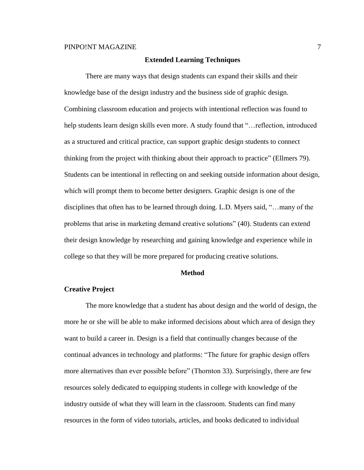## **Extended Learning Techniques**

There are many ways that design students can expand their skills and their knowledge base of the design industry and the business side of graphic design. Combining classroom education and projects with intentional reflection was found to help students learn design skills even more. A study found that "…reflection, introduced as a structured and critical practice, can support graphic design students to connect thinking from the project with thinking about their approach to practice" (Ellmers 79). Students can be intentional in reflecting on and seeking outside information about design, which will prompt them to become better designers. Graphic design is one of the disciplines that often has to be learned through doing. L.D. Myers said, "…many of the problems that arise in marketing demand creative solutions" (40). Students can extend their design knowledge by researching and gaining knowledge and experience while in college so that they will be more prepared for producing creative solutions.

## **Method**

#### **Creative Project**

The more knowledge that a student has about design and the world of design, the more he or she will be able to make informed decisions about which area of design they want to build a career in. Design is a field that continually changes because of the continual advances in technology and platforms: "The future for graphic design offers more alternatives than ever possible before" (Thornton 33). Surprisingly, there are few resources solely dedicated to equipping students in college with knowledge of the industry outside of what they will learn in the classroom. Students can find many resources in the form of video tutorials, articles, and books dedicated to individual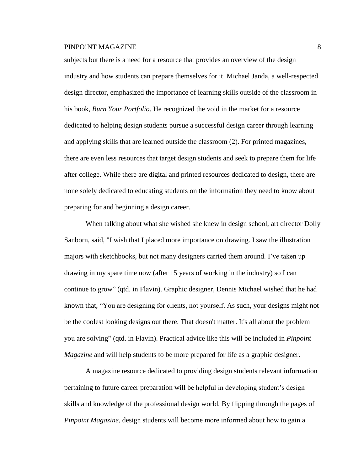subjects but there is a need for a resource that provides an overview of the design industry and how students can prepare themselves for it. Michael Janda, a well-respected design director, emphasized the importance of learning skills outside of the classroom in his book, *Burn Your Portfolio*. He recognized the void in the market for a resource dedicated to helping design students pursue a successful design career through learning and applying skills that are learned outside the classroom (2). For printed magazines, there are even less resources that target design students and seek to prepare them for life after college. While there are digital and printed resources dedicated to design, there are none solely dedicated to educating students on the information they need to know about preparing for and beginning a design career.

When talking about what she wished she knew in design school, art director Dolly Sanborn, said, "I wish that I placed more importance on drawing. I saw the illustration majors with sketchbooks, but not many designers carried them around. I've taken up drawing in my spare time now (after 15 years of working in the industry) so I can continue to grow" (qtd. in Flavin). Graphic designer, Dennis Michael wished that he had known that, "You are designing for clients, not yourself. As such, your designs might not be the coolest looking designs out there. That doesn't matter. It's all about the problem you are solving" (qtd. in Flavin). Practical advice like this will be included in *Pinpoint Magazine* and will help students to be more prepared for life as a graphic designer.

A magazine resource dedicated to providing design students relevant information pertaining to future career preparation will be helpful in developing student's design skills and knowledge of the professional design world. By flipping through the pages of *Pinpoint Magazine*, design students will become more informed about how to gain a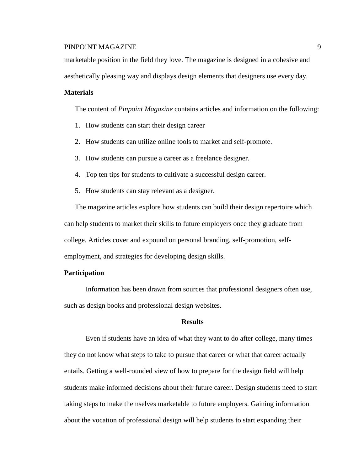marketable position in the field they love. The magazine is designed in a cohesive and

aesthetically pleasing way and displays design elements that designers use every day.

## **Materials**

The content of *Pinpoint Magazine* contains articles and information on the following:

- 1. How students can start their design career
- 2. How students can utilize online tools to market and self-promote.
- 3. How students can pursue a career as a freelance designer.
- 4. Top ten tips for students to cultivate a successful design career.
- 5. How students can stay relevant as a designer.

The magazine articles explore how students can build their design repertoire which can help students to market their skills to future employers once they graduate from college. Articles cover and expound on personal branding, self-promotion, selfemployment, and strategies for developing design skills.

## **Participation**

Information has been drawn from sources that professional designers often use, such as design books and professional design websites.

#### **Results**

Even if students have an idea of what they want to do after college, many times they do not know what steps to take to pursue that career or what that career actually entails. Getting a well-rounded view of how to prepare for the design field will help students make informed decisions about their future career. Design students need to start taking steps to make themselves marketable to future employers. Gaining information about the vocation of professional design will help students to start expanding their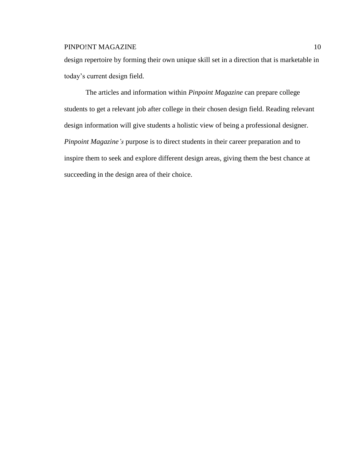design repertoire by forming their own unique skill set in a direction that is marketable in today's current design field.

The articles and information within *Pinpoint Magazine* can prepare college students to get a relevant job after college in their chosen design field. Reading relevant design information will give students a holistic view of being a professional designer. *Pinpoint Magazine's* purpose is to direct students in their career preparation and to inspire them to seek and explore different design areas, giving them the best chance at succeeding in the design area of their choice.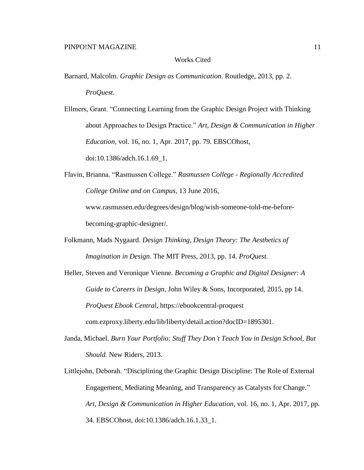## Works Cited

Barnard, Malcolm. *Graphic Design as Communication*. Routledge, 2013, pp. 2. *ProQuest.*

Ellmers, Grant. "Connecting Learning from the Graphic Design Project with Thinking about Approaches to Design Practice." *Art, Design & Communication in Higher Education*, vol. 16, no. 1, Apr. 2017, pp. 79. EBSCOhost, doi:10.1386/adch.16.1.69\_1.

Flavin, Brianna. "Rasmussen College." *Rasmussen College - Regionally Accredited College Online and on Campus*, 13 June 2016, www.rasmussen.edu/degrees/design/blog/wish-someone-told-me-beforebecoming-graphic-designer/.

Folkmann, Mads Nygaard. *Design Thinking, Design Theory: The Aesthetics of Imagination in Design*. The MIT Press, 2013, pp. 14. *ProQuest.*

Heller, Steven and Veronique Vienne. *Becoming a Graphic and Digital Designer: A Guide to Careers in Design*, John Wiley & Sons, Incorporated, 2015, pp 14. *ProQuest Ebook Central*, https://ebookcentral-proquest com.ezproxy.liberty.edu/lib/liberty/detail.action?docID=1895301.

- Janda, Michael. *Burn Your Portfolio: Stuff They Don't Teach You in Design School, But Should.* New Riders, 2013.
- Littlejohn, Deborah. "Disciplining the Graphic Design Discipline: The Role of External Engagement, Mediating Meaning, and Transparency as Catalysts for Change." *Art, Design & Communication in Higher Education*, vol. 16, no. 1, Apr. 2017, pp. 34. EBSCOhost, doi:10.1386/adch.16.1.33\_1.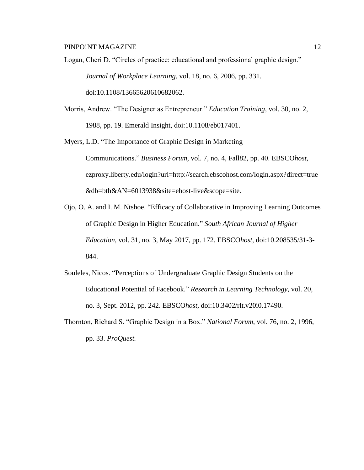Logan, Cheri D. "Circles of practice: educational and professional graphic design." *Journal of Workplace Learning*, vol. 18, no. 6, 2006, pp. 331. doi:10.1108/13665620610682062.

- Morris, Andrew. "The Designer as Entrepreneur." *Education Training*, vol. 30, no. 2, 1988, pp. 19. Emerald Insight, doi:10.1108/eb017401.
- Myers, L.D. "The Importance of Graphic Design in Marketing Communications." *Business Forum*, vol. 7, no. 4, Fall82, pp. 40. EBSCO*host*, ezproxy.liberty.edu/login?url=http://search.ebscohost.com/login.aspx?direct=true &db=bth&AN=6013938&site=ehost-live&scope=site.
- Ojo, O. A. and I. M. Ntshoe. "Efficacy of Collaborative in Improving Learning Outcomes of Graphic Design in Higher Education." *South African Journal of Higher Education*, vol. 31, no. 3, May 2017, pp. 172. EBSCO*host*, doi:10.208535/31-3- 844.
- Souleles, Nicos. "Perceptions of Undergraduate Graphic Design Students on the Educational Potential of Facebook." *Research in Learning Technology*, vol. 20, no. 3, Sept. 2012, pp. 242. EBSCO*host*, doi:10.3402/rlt.v20i0.17490.
- Thornton, Richard S. "Graphic Design in a Box." *National Forum*, vol. 76, no. 2, 1996, pp. 33. *ProQuest.*